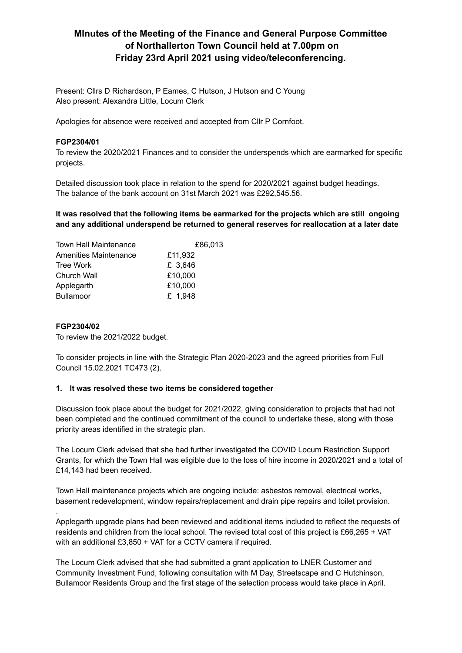## **MInutes of the Meeting of the Finance and General Purpose Committee of Northallerton Town Council held at 7.00pm on Friday 23rd April 2021 using video/teleconferencing.**

Present: Cllrs D Richardson, P Eames, C Hutson, J Hutson and C Young Also present: Alexandra Little, Locum Clerk

Apologies for absence were received and accepted from Cllr P Cornfoot.

## **FGP2304/01**

To review the 2020/2021 Finances and to consider the underspends which are earmarked for specific projects.

Detailed discussion took place in relation to the spend for 2020/2021 against budget headings. The balance of the bank account on 31st March 2021 was £292,545.56.

**It was resolved that the following items be earmarked for the projects which are still ongoing and any additional underspend be returned to general reserves for reallocation at a later date**

| £86,013 |
|---------|
| £11,932 |
| £ 3,646 |
| £10,000 |
| £10,000 |
| £ 1,948 |
|         |

#### **FGP2304/02**

.

To review the 2021/2022 budget.

To consider projects in line with the Strategic Plan 2020-2023 and the agreed priorities from Full Council 15.02.2021 TC473 (2).

### **1. It was resolved these two items be considered together**

Discussion took place about the budget for 2021/2022, giving consideration to projects that had not been completed and the continued commitment of the council to undertake these, along with those priority areas identified in the strategic plan.

The Locum Clerk advised that she had further investigated the COVID Locum Restriction Support Grants, for which the Town Hall was eligible due to the loss of hire income in 2020/2021 and a total of £14,143 had been received.

Town Hall maintenance projects which are ongoing include: asbestos removal, electrical works, basement redevelopment, window repairs/replacement and drain pipe repairs and toilet provision.

Applegarth upgrade plans had been reviewed and additional items included to reflect the requests of residents and children from the local school. The revised total cost of this project is £66,265 + VAT with an additional £3,850 + VAT for a CCTV camera if required.

The Locum Clerk advised that she had submitted a grant application to LNER Customer and Community Investment Fund, following consultation with M Day, Streetscape and C Hutchinson, Bullamoor Residents Group and the first stage of the selection process would take place in April.